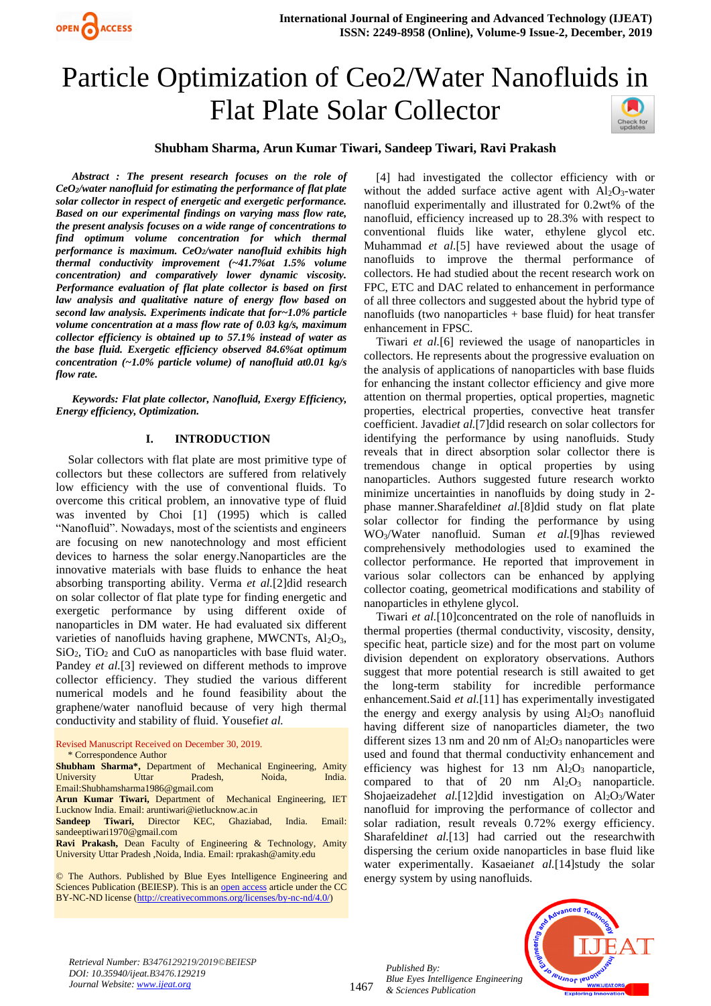

# Particle Optimization of Ceo2/Water Nanofluids in Flat Plate Solar Collector



## **Shubham Sharma, Arun Kumar Tiwari, Sandeep Tiwari, Ravi Prakash**

*Abstract : The present research focuses on the role of CeO2/water nanofluid for estimating the performance of flat plate solar collector in respect of energetic and exergetic performance. Based on our experimental findings on varying mass flow rate, the present analysis focuses on a wide range of concentrations to find optimum volume concentration for which thermal performance is maximum. CeO2/water nanofluid exhibits high thermal conductivity improvement (~41.7%at 1.5% volume concentration) and comparatively lower dynamic viscosity. Performance evaluation of flat plate collector is based on first law analysis and qualitative nature of energy flow based on second law analysis. Experiments indicate that for~1.0% particle volume concentration at a mass flow rate of 0.03 kg/s, maximum collector efficiency is obtained up to 57.1% instead of water as the base fluid. Exergetic efficiency observed 84.6%at optimum concentration (~1.0% particle volume) of nanofluid at0.01 kg/s flow rate.*

*Keywords: Flat plate collector, Nanofluid, Exergy Efficiency, Energy efficiency, Optimization.* 

#### **I. INTRODUCTION**

Solar collectors with flat plate are most primitive type of collectors but these collectors are suffered from relatively low efficiency with the use of conventional fluids. To overcome this critical problem, an innovative type of fluid was invented by Choi [1] (1995) which is called "Nanofluid". Nowadays, most of the scientists and engineers are focusing on new nanotechnology and most efficient devices to harness the solar energy.Nanoparticles are the innovative materials with base fluids to enhance the heat absorbing transporting ability. Verma *et al.*[2]did research on solar collector of flat plate type for finding energetic and exergetic performance by using different oxide of nanoparticles in DM water. He had evaluated six different varieties of nanofluids having graphene, MWCNTs,  $Al_2O_3$ , SiO<sub>2</sub>, TiO<sub>2</sub> and CuO as nanoparticles with base fluid water. Pandey *et al.*[3] reviewed on different methods to improve collector efficiency. They studied the various different numerical models and he found feasibility about the graphene/water nanofluid because of very high thermal conductivity and stability of fluid. Yousefi*et al.*

#### Revised Manuscript Received on December 30, 2019.

\* Correspondence Author

**Shubham Sharma\*,** Department of Mechanical Engineering, Amity University Uttar Pradesh, Noida, India. Email:Shubhamsharma1986@gmail.com **Arun Kumar Tiwari,** Department of Mechanical Engineering, IET Lucknow India. Email: aruntiwari@ietlucknow.ac.in **Sandeep Tiwari,** Director KEC, Ghaziabad, India. Email: sandeeptiwari1970@gmail.com **Ravi Prakash,** Dean Faculty of Engineering & Technology, Amity University Uttar Pradesh ,Noida, India. Email: rprakash@amity.edu

© The Authors. Published by Blue Eyes Intelligence Engineering and Sciences Publication (BEIESP). This is a[n open access](https://www.openaccess.nl/en/open-publications) article under the CC BY-NC-ND license [\(http://creativecommons.org/licenses/by-nc-nd/4.0/\)](http://creativecommons.org/licenses/by-nc-nd/4.0/)

[4] had investigated the collector efficiency with or without the added surface active agent with  $Al_2O_3$ -water nanofluid experimentally and illustrated for 0.2wt% of the nanofluid, efficiency increased up to 28.3% with respect to conventional fluids like water, ethylene glycol etc. Muhammad *et al.*[5] have reviewed about the usage of nanofluids to improve the thermal performance of collectors. He had studied about the recent research work on FPC, ETC and DAC related to enhancement in performance of all three collectors and suggested about the hybrid type of nanofluids (two nanoparticles + base fluid) for heat transfer enhancement in FPSC.

Tiwari *et al.*[6] reviewed the usage of nanoparticles in collectors. He represents about the progressive evaluation on the analysis of applications of nanoparticles with base fluids for enhancing the instant collector efficiency and give more attention on thermal properties, optical properties, magnetic properties, electrical properties, convective heat transfer coefficient. Javadi*et al.*[7]did research on solar collectors for identifying the performance by using nanofluids. Study reveals that in direct absorption solar collector there is tremendous change in optical properties by using nanoparticles. Authors suggested future research workto minimize uncertainties in nanofluids by doing study in 2 phase manner.Sharafeldin*et al.*[8]did study on flat plate solar collector for finding the performance by using WO3/Water nanofluid. Suman *et al.*[9]has reviewed comprehensively methodologies used to examined the collector performance. He reported that improvement in various solar collectors can be enhanced by applying collector coating, geometrical modifications and stability of nanoparticles in ethylene glycol.

Tiwari *et al.*[10]concentrated on the role of nanofluids in thermal properties (thermal conductivity, viscosity, density, specific heat, particle size) and for the most part on volume division dependent on exploratory observations. Authors suggest that more potential research is still awaited to get the long-term stability for incredible performance enhancement.Said *et al.*[11] has experimentally investigated the energy and exergy analysis by using  $Al_2O_3$  nanofluid having different size of nanoparticles diameter, the two different sizes 13 nm and 20 nm of  $Al_2O_3$  nanoparticles were used and found that thermal conductivity enhancement and efficiency was highest for 13 nm  $Al_2O_3$  nanoparticle, compared to that of 20 nm  $Al_2O_3$  nanoparticle. Shojaeizadeh*et al.*[12]did investigation on Al<sub>2</sub>O<sub>3</sub>/Water nanofluid for improving the performance of collector and solar radiation, result reveals 0.72% exergy efficiency. Sharafeldin*et al.*[13] had carried out the researchwith dispersing the cerium oxide nanoparticles in base fluid like water experimentally. Kasaeian*et al.*[14]study the solar energy system by using nanofluids.

*Retrieval Number: B3476129219/2019©BEIESP DOI: 10.35940/ijeat.B3476.129219 Journal Website[: www.ijeat.org](http://www.ijeat.org/)*

1467

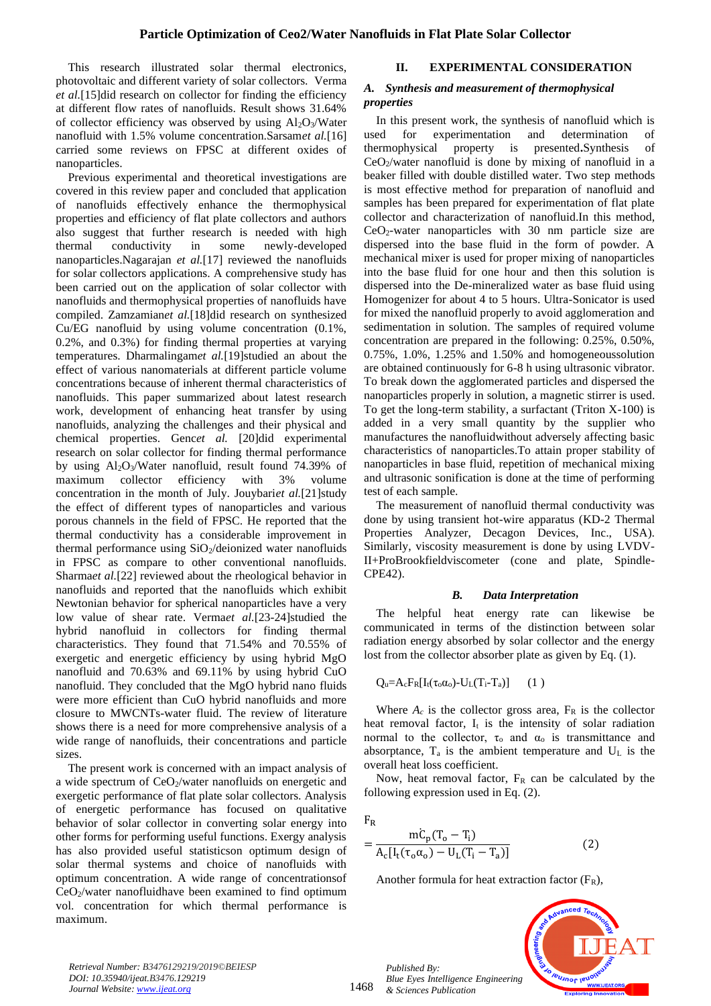This research illustrated solar thermal electronics, photovoltaic and different variety of solar collectors. Verma *et al.*[15]did research on collector for finding the efficiency at different flow rates of nanofluids. Result shows 31.64% of collector efficiency was observed by using  $Al_2O_3/W$ ater nanofluid with 1.5% volume concentration.Sarsam*et al.*[16] carried some reviews on FPSC at different oxides of nanoparticles.

Previous experimental and theoretical investigations are covered in this review paper and concluded that application of nanofluids effectively enhance the thermophysical properties and efficiency of flat plate collectors and authors also suggest that further research is needed with high thermal conductivity in some newly-developed nanoparticles.Nagarajan *et al.*[17] reviewed the nanofluids for solar collectors applications. A comprehensive study has been carried out on the application of solar collector with nanofluids and thermophysical properties of nanofluids have compiled. Zamzamian*et al.*[18]did research on synthesized Cu/EG nanofluid by using volume concentration (0.1%, 0.2%, and 0.3%) for finding thermal properties at varying temperatures. Dharmalingam*et al.*[19]studied an about the effect of various nanomaterials at different particle volume concentrations because of inherent thermal characteristics of nanofluids. This paper summarized about latest research work, development of enhancing heat transfer by using nanofluids, analyzing the challenges and their physical and chemical properties. Genc*et al.* [20]did experimental research on solar collector for finding thermal performance by using  $Al_2O_3/W$ ater nanofluid, result found 74.39% of maximum collector efficiency with 3% volume concentration in the month of July. Jouybari*et al.*[21]study the effect of different types of nanoparticles and various porous channels in the field of FPSC. He reported that the thermal conductivity has a considerable improvement in thermal performance using  $SiO_2$ /deionized water nanofluids in FPSC as compare to other conventional nanofluids. Sharmaet al.<sup>[22]</sup> reviewed about the rheological behavior in nanofluids and reported that the nanofluids which exhibit Newtonian behavior for spherical nanoparticles have a very low value of shear rate. Verma*et al.*[23-24]studied the hybrid nanofluid in collectors for finding thermal characteristics. They found that 71.54% and 70.55% of exergetic and energetic efficiency by using hybrid MgO nanofluid and 70.63% and 69.11% by using hybrid CuO nanofluid. They concluded that the MgO hybrid nano fluids were more efficient than CuO hybrid nanofluids and more closure to MWCNTs-water fluid. The review of literature shows there is a need for more comprehensive analysis of a wide range of nanofluids, their concentrations and particle sizes.

The present work is concerned with an impact analysis of a wide spectrum of CeO2/water nanofluids on energetic and exergetic performance of flat plate solar collectors. Analysis of energetic performance has focused on qualitative behavior of solar collector in converting solar energy into other forms for performing useful functions. Exergy analysis has also provided useful statisticson optimum design of solar thermal systems and choice of nanofluids with optimum concentration. A wide range of concentrationsof  $CeO<sub>2</sub>/water$  nanofluidhave been examined to find optimum vol. concentration for which thermal performance is maximum.

## **II. EXPERIMENTAL CONSIDERATION**

#### *A. Synthesis and measurement of thermophysical properties*

In this present work, the synthesis of nanofluid which is used for experimentation and determination of thermophysical property is presented**.**Synthesis of CeO2/water nanofluid is done by mixing of nanofluid in a beaker filled with double distilled water. Two step methods is most effective method for preparation of nanofluid and samples has been prepared for experimentation of flat plate collector and characterization of nanofluid.In this method,  $CeO<sub>2</sub>$ -water nanoparticles with 30 nm particle size are dispersed into the base fluid in the form of powder. A mechanical mixer is used for proper mixing of nanoparticles into the base fluid for one hour and then this solution is dispersed into the De-mineralized water as base fluid using Homogenizer for about 4 to 5 hours. Ultra-Sonicator is used for mixed the nanofluid properly to avoid agglomeration and sedimentation in solution. The samples of required volume concentration are prepared in the following: 0.25%, 0.50%, 0.75%, 1.0%, 1.25% and 1.50% and homogeneoussolution are obtained continuously for 6-8 h using ultrasonic vibrator. To break down the agglomerated particles and dispersed the nanoparticles properly in solution, a magnetic stirrer is used. To get the long-term stability, a surfactant (Triton X-100) is added in a very small quantity by the supplier who manufactures the nanofluidwithout adversely affecting basic characteristics of nanoparticles.To attain proper stability of nanoparticles in base fluid, repetition of mechanical mixing and ultrasonic sonification is done at the time of performing test of each sample.

The measurement of nanofluid thermal conductivity was done by using transient hot-wire apparatus (KD-2 Thermal Properties Analyzer, Decagon Devices, Inc., USA). Similarly, viscosity measurement is done by using LVDV-II+ProBrookfieldviscometer (cone and plate, Spindle-CPE42).

#### *B. Data Interpretation*

The helpful heat energy rate can likewise be communicated in terms of the distinction between solar radiation energy absorbed by solar collector and the energy lost from the collector absorber plate as given by Eq. (1).

$$
Q_u = A_c F_R[I_t(\tau_o \alpha_o) - U_L(T_i - T_a)] \qquad (1)
$$

Where  $A_c$  is the collector gross area,  $F_R$  is the collector heat removal factor,  $I_t$  is the intensity of solar radiation normal to the collector,  $\tau_0$  and  $\alpha_0$  is transmittance and absorptance,  $T_a$  is the ambient temperature and  $U_L$  is the overall heat loss coefficient.

Now, heat removal factor,  $F_R$  can be calculated by the following expression used in Eq. (2).

 $F_R$ 

$$
= \frac{mC_p(T_o - T_i)}{A_c[I_t(\tau_o\alpha_o) - U_L(T_i - T_a)]}
$$
(2)

Another formula for heat extraction factor  $(F_R)$ ,



*Retrieval Number: B3476129219/2019©BEIESP DOI: 10.35940/ijeat.B3476.129219 Journal Website[: www.ijeat.org](http://www.ijeat.org/)*

1468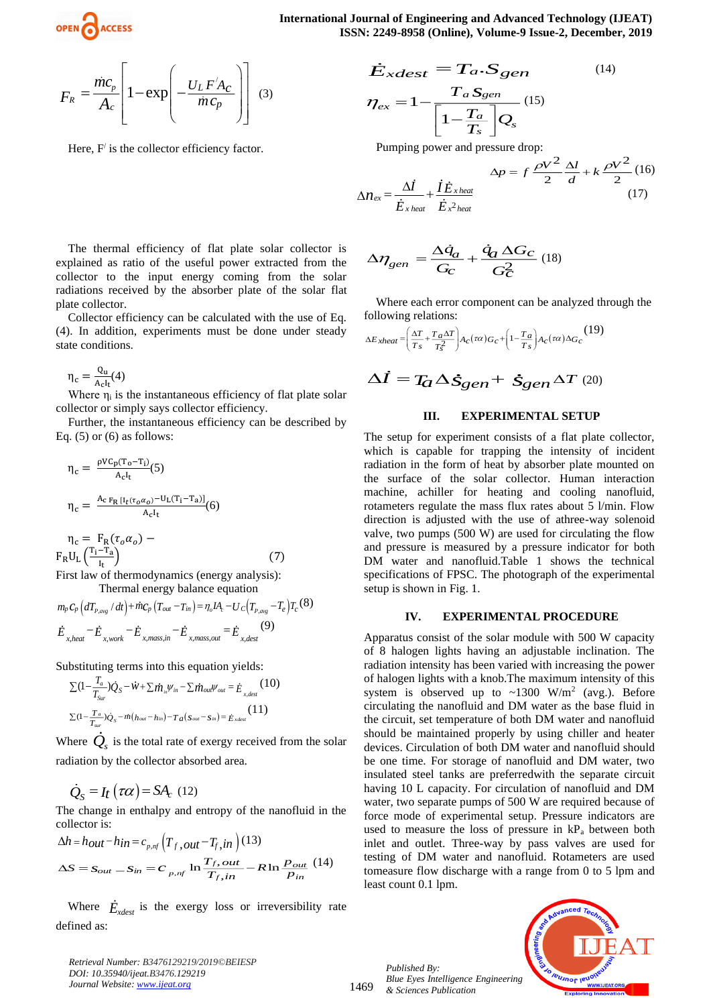**International Journal of Engineering and Advanced Technology (IJEAT) ISSN: 2249-8958 (Online), Volume-9 Issue-2, December, 2019**

$$
F_R = \frac{\dot{m}c_p}{A_c} \left[ 1 - \exp\left( -\frac{U_L F' A_C}{\dot{m}c_p} \right) \right]
$$
 (3)

Here,  $F'$  is the collector efficiency factor.

The thermal efficiency of flat plate solar collector is explained as ratio of the useful power extracted from the collector to the input energy coming from the solar radiations received by the absorber plate of the solar flat plate collector.

Collector efficiency can be calculated with the use of Eq. (4). In addition, experiments must be done under steady state conditions.

$$
\eta_c = \frac{Q_u}{A_c I_t}(4)
$$

Where  $\eta_i$  is the instantaneous efficiency of flat plate solar collector or simply says collector efficiency.

Further, the instantaneous efficiency can be described by Eq.  $(5)$  or  $(6)$  as follows:

$$
\eta_c = \frac{\rho V C_p (T_o - T_i)}{A_c I_t} (5)
$$
  
\n
$$
\eta_c = \frac{A_c F_R [I_t (\tau_o \alpha_o)^{-U_L (T_i - T_a)]}}{A_c I_t} (6)
$$
  
\n
$$
\eta_c = F_R (\tau_o \alpha_o) -
$$

$$
\eta_c = F_R(\tau_o \alpha_o) - F_R U_L \left(\frac{T_i - T_a}{I_t}\right)
$$
\nFirst law of thermodynamics (energy, and  
with

First law of thermodynamics (energy analysis): Thermal energy balance equation

$$
m_p c_p \left( d_{p,\text{avg}} / dt \right) + \dot{m} c_p \left( T_{out} - T_{in} \right) = \eta_o I A_c - U_c \left( T_{p,\text{avg}} - T_e \right) T_c \quad (8)
$$
\n
$$
\dot{E}_{x, heat} - \dot{E}_{x, work} - \dot{E}_{x, mass, in} - \dot{E}_{x, mass, out} = \dot{E}_{x, dest} \quad (9)
$$

Substituting terms into this equation yields:

$$
\sum (1 - \frac{T_a}{T_{Sur}}) \dot{Q}_S - \dot{W} + \sum \dot{m}_{in} \psi_{in} - \sum \dot{m}_{out} \psi_{out} = \dot{E}_{x, dest}
$$
 (10)  

$$
\sum (1 - \frac{T_a}{T_{sur}}) \dot{Q}_S - \dot{m} (h_{out} - h_{in}) - T_a(s_{out} - s_{in}) = \dot{E}_{x, dest}
$$
 (11)

Where  $\dot{Q}_s$  is the total rate of exergy received from the solar radiation by the collector absorbed area.

$$
\dot{Q}_S = I_t \left( \tau \alpha \right) = SA_c \text{ (12)}
$$

The change in enthalpy and entropy of the nanofluid in the collector is:

$$
\Delta h = h_{out} - h_{in} = c_{p,nf} \left( T_{f,out} - T_{f,in} \right) (13)
$$
  

$$
\Delta S = S_{out} - S_{in} = c_{p,nf} \ln \frac{T_{f,out}}{T_{f,in}} - R \ln \frac{P_{out}}{P_{in}} (14)
$$

Where  $\dot{E}_{\text{xdest}}$  is the exergy loss or irreversibility rate defined as:

*Retrieval Number: B3476129219/2019©BEIESP DOI: 10.35940/ijeat.B3476.129219 Journal Website[: www.ijeat.org](http://www.ijeat.org/)*

$$
\dot{E}_{xdest} = Ta \cdot S_{gen}
$$
\n
$$
\eta_{ex} = 1 - \frac{T_{a} S_{gen}}{\left[1 - \frac{T_{a}}{T_{s}}\right] Q_{s}}
$$
\n
$$
(14)
$$

Pumping power and pressure drop:

$$
\Delta p = f \frac{\rho V^2}{2} \frac{\Delta l}{d} + k \frac{\rho V^2}{2} (16)
$$

$$
\Delta n_{ex} = \frac{\Delta l}{\dot{E}_{x heat}} + \frac{\dot{I}\dot{E}_{x heat}}{\dot{E}_{x2 heat}} (17)
$$

$$
\Delta \eta_{gen} = \frac{\Delta \dot{q}_a}{G_C} + \frac{\dot{q}_a \Delta G_C}{G_C^2} (18)
$$

Where each error component can be analyzed through the following relations:

$$
\Delta E_{xheat} = \left(\frac{\Delta T}{T_s} + \frac{T_a \Delta T}{T_s^2}\right) A_c(\tau \alpha) G_c + \left(1 - \frac{T_a}{T_s}\right) A_c(\tau \alpha) \Delta G_c \tag{19}
$$

$$
\Delta \dot{I} = T_{\!G} \Delta \dot{S}_{\mathcal{G}en} + \dot{S}_{\mathcal{G}en} \Delta T ~^{(20)}
$$

## **III. EXPERIMENTAL SETUP**

The setup for experiment consists of a flat plate collector, which is capable for trapping the intensity of incident radiation in the form of heat by absorber plate mounted on the surface of the solar collector. Human interaction machine, achiller for heating and cooling nanofluid, rotameters regulate the mass flux rates about 5 l/min. Flow direction is adjusted with the use of athree-way solenoid valve, two pumps (500 W) are used for circulating the flow and pressure is measured by a pressure indicator for both DM water and nanofluid.Table 1 shows the technical specifications of FPSC. The photograph of the experimental setup is shown in Fig. 1.

#### **IV. EXPERIMENTAL PROCEDURE**

Apparatus consist of the solar module with 500 W capacity of 8 halogen lights having an adjustable inclination. The radiation intensity has been varied with increasing the power of halogen lights with a knob.The maximum intensity of this system is observed up to  $\sim$ 1300 W/m<sup>2</sup> (avg.). Before circulating the nanofluid and DM water as the base fluid in the circuit, set temperature of both DM water and nanofluid should be maintained properly by using chiller and heater devices. Circulation of both DM water and nanofluid should be one time. For storage of nanofluid and DM water, two insulated steel tanks are preferredwith the separate circuit having 10 L capacity. For circulation of nanofluid and DM water, two separate pumps of 500 W are required because of force mode of experimental setup. Pressure indicators are used to measure the loss of pressure in  $kP_a$  between both inlet and outlet. Three-way by pass valves are used for testing of DM water and nanofluid. Rotameters are used tomeasure flow discharge with a range from 0 to 5 lpm and least count 0.1 lpm.

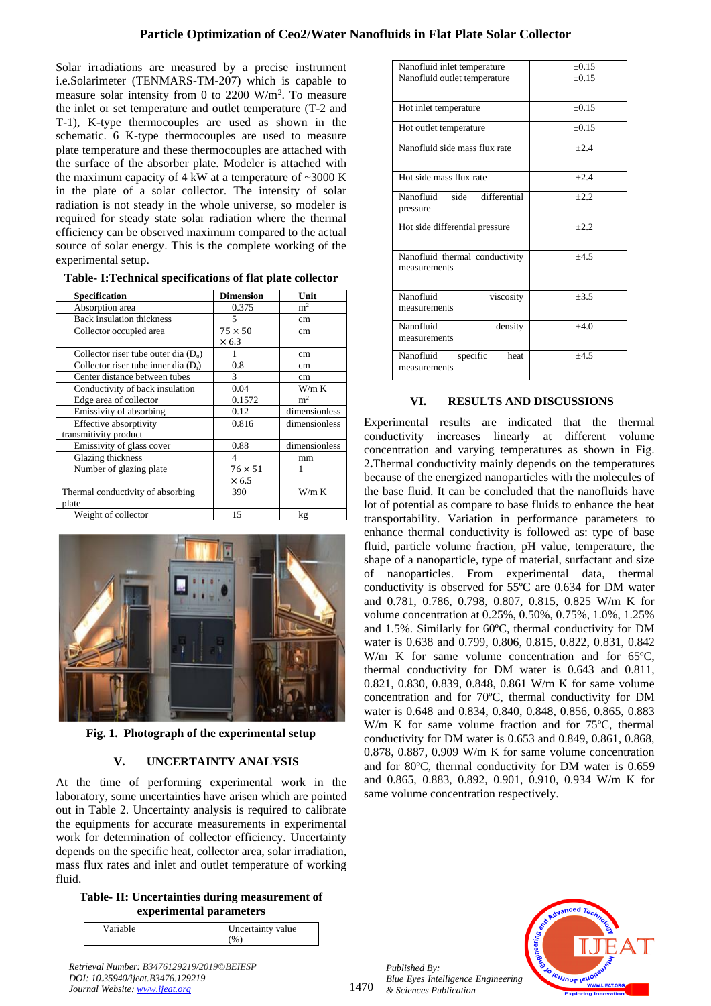Solar irradiations are measured by a precise instrument i.e.Solarimeter (TENMARS-TM-207) which is capable to measure solar intensity from 0 to 2200  $W/m^2$ . To measure the inlet or set temperature and outlet temperature (T-2 and T-1), K-type thermocouples are used as shown in the schematic. 6 K-type thermocouples are used to measure plate temperature and these thermocouples are attached with the surface of the absorber plate. Modeler is attached with the maximum capacity of  $4 \text{ kW}$  at a temperature of  $\sim 3000 \text{ K}$ in the plate of a solar collector. The intensity of solar radiation is not steady in the whole universe, so modeler is required for steady state solar radiation where the thermal efficiency can be observed maximum compared to the actual source of solar energy. This is the complete working of the experimental setup.

| Table-I:Technical specifications of flat plate collector |
|----------------------------------------------------------|
|----------------------------------------------------------|

| <b>Specification</b>                   | <b>Dimension</b> | Unit           |
|----------------------------------------|------------------|----------------|
| Absorption area                        | 0.375            | m <sup>2</sup> |
| <b>Back insulation thickness</b>       | 5                | cm             |
| Collector occupied area                | $75 \times 50$   | cm             |
|                                        | $\times 6.3$     |                |
| Collector riser tube outer dia $(D_0)$ |                  | cm             |
| Collector riser tube inner dia $(D_i)$ | 0.8              | cm             |
| Center distance between tubes          | 3                | cm             |
| Conductivity of back insulation        | 0.04             | W/m K          |
| Edge area of collector                 | 0.1572           | m <sup>2</sup> |
| Emissivity of absorbing                | 0.12             | dimensionless  |
| Effective absorptivity                 | 0.816            | dimensionless  |
| transmitivity product                  |                  |                |
| Emissivity of glass cover              | 0.88             | dimensionless  |
| Glazing thickness                      | 4                | mm             |
| Number of glazing plate                | $76 \times 51$   |                |
|                                        | $\times$ 6.5     |                |
| Thermal conductivity of absorbing      | 390              | W/m K          |
| plate                                  |                  |                |
| Weight of collector                    | 15               | kg             |



**Fig. 1. Photograph of the experimental setup**

## **V. UNCERTAINTY ANALYSIS**

At the time of performing experimental work in the laboratory, some uncertainties have arisen which are pointed out in Table 2. Uncertainty analysis is required to calibrate the equipments for accurate measurements in experimental work for determination of collector efficiency. Uncertainty depends on the specific heat, collector area, solar irradiation, mass flux rates and inlet and outlet temperature of working fluid.

**Table- II: Uncertainties during measurement of experimental parameters**

| Variable |  | Uncertainty value<br>$\frac{9}{6}$ |
|----------|--|------------------------------------|
|          |  |                                    |

*Retrieval Number: B3476129219/2019©BEIESP DOI: 10.35940/ijeat.B3476.129219 Journal Website[: www.ijeat.org](http://www.ijeat.org/)*

| Nanofluid inlet temperature                    | $\pm 0.15$ |
|------------------------------------------------|------------|
| Nanofluid outlet temperature                   | $+0.15$    |
| Hot inlet temperature                          | $+0.15$    |
| Hot outlet temperature                         | $+0.15$    |
| Nanofluid side mass flux rate                  | $+2.4$     |
| Hot side mass flux rate                        | $+2.4$     |
| Nanofluid<br>side<br>differential<br>pressure  | $+2.2$     |
| Hot side differential pressure                 | $+2.2$     |
| Nanofluid thermal conductivity<br>measurements | $+4.5$     |
| Nanofluid<br>viscosity<br>measurements         | $+3.5$     |
| Nanofluid<br>density<br>measurements           | $+4.0$     |
| specific<br>Nanofluid<br>heat<br>measurements  | $+4.5$     |

## **VI. RESULTS AND DISCUSSIONS**

Experimental results are indicated that the thermal conductivity increases linearly at different volume concentration and varying temperatures as shown in Fig. 2**.**Thermal conductivity mainly depends on the temperatures because of the energized nanoparticles with the molecules of the base fluid. It can be concluded that the nanofluids have lot of potential as compare to base fluids to enhance the heat transportability. Variation in performance parameters to enhance thermal conductivity is followed as: type of base fluid, particle volume fraction, pH value, temperature, the shape of a nanoparticle, type of material, surfactant and size of nanoparticles. From experimental data, thermal conductivity is observed for 55ºC are 0.634 for DM water and 0.781, 0.786, 0.798, 0.807, 0.815, 0.825 W/m K for volume concentration at 0.25%, 0.50%, 0.75%, 1.0%, 1.25% and 1.5%. Similarly for 60ºC, thermal conductivity for DM water is 0.638 and 0.799, 0.806, 0.815, 0.822, 0.831, 0.842 W/m K for same volume concentration and for 65°C, thermal conductivity for DM water is 0.643 and 0.811, 0.821, 0.830, 0.839, 0.848, 0.861 W/m K for same volume concentration and for 70ºC, thermal conductivity for DM water is 0.648 and 0.834, 0.840, 0.848, 0.856, 0.865, 0.883 W/m K for same volume fraction and for 75ºC, thermal conductivity for DM water is 0.653 and 0.849, 0.861, 0.868, 0.878, 0.887, 0.909 W/m K for same volume concentration and for 80ºC, thermal conductivity for DM water is 0.659 and 0.865, 0.883, 0.892, 0.901, 0.910, 0.934 W/m K for same volume concentration respectively.

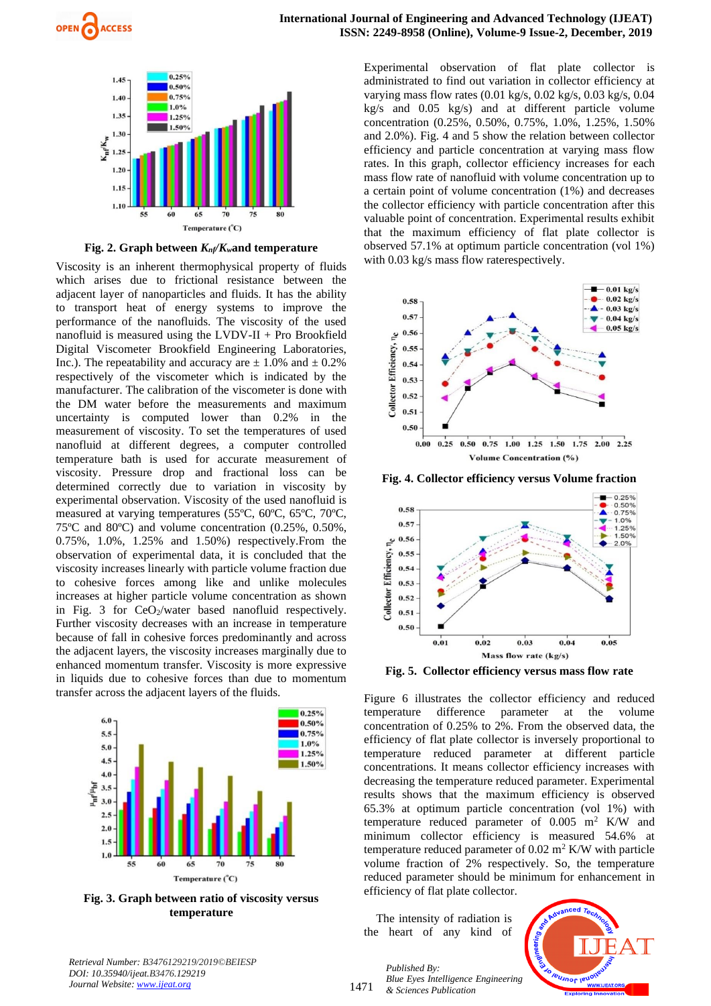



**Fig.** 2. Graph between  $K_n / K_n$  and temperature

Viscosity is an inherent thermophysical property of fluids which arises due to frictional resistance between the adjacent layer of nanoparticles and fluids. It has the ability to transport heat of energy systems to improve the performance of the nanofluids. The viscosity of the used nanofluid is measured using the LVDV-II + Pro Brookfield Digital Viscometer Brookfield Engineering Laboratories, Inc.). The repeatability and accuracy are  $\pm$  1.0% and  $\pm$  0.2% respectively of the viscometer which is indicated by the manufacturer. The calibration of the viscometer is done with the DM water before the measurements and maximum uncertainty is computed lower than 0.2% in the measurement of viscosity. To set the temperatures of used nanofluid at different degrees, a computer controlled temperature bath is used for accurate measurement of viscosity. Pressure drop and fractional loss can be determined correctly due to variation in viscosity by experimental observation. Viscosity of the used nanofluid is measured at varying temperatures (55ºC, 60ºC, 65ºC, 70ºC, 75ºC and 80ºC) and volume concentration (0.25%, 0.50%, 0.75%, 1.0%, 1.25% and 1.50%) respectively.From the observation of experimental data, it is concluded that the viscosity increases linearly with particle volume fraction due to cohesive forces among like and unlike molecules increases at higher particle volume concentration as shown in Fig. 3 for  $CeO_2$ /water based nanofluid respectively. Further viscosity decreases with an increase in temperature because of fall in cohesive forces predominantly and across the adjacent layers, the viscosity increases marginally due to enhanced momentum transfer. Viscosity is more expressive in liquids due to cohesive forces than due to momentum transfer across the adjacent layers of the fluids.



**Fig. 3. Graph between ratio of viscosity versus temperature**

*Retrieval Number: B3476129219/2019©BEIESP DOI: 10.35940/ijeat.B3476.129219 Journal Website[: www.ijeat.org](http://www.ijeat.org/)*

Experimental observation of flat plate collector is administrated to find out variation in collector efficiency at varying mass flow rates (0.01 kg/s, 0.02 kg/s, 0.03 kg/s, 0.04 kg/s and 0.05 kg/s) and at different particle volume concentration (0.25%, 0.50%, 0.75%, 1.0%, 1.25%, 1.50% and 2.0%). Fig. 4 and 5 show the relation between collector efficiency and particle concentration at varying mass flow rates. In this graph, collector efficiency increases for each mass flow rate of nanofluid with volume concentration up to a certain point of volume concentration (1%) and decreases the collector efficiency with particle concentration after this valuable point of concentration. Experimental results exhibit that the maximum efficiency of flat plate collector is observed 57.1% at optimum particle concentration (vol 1%) with 0.03 kg/s mass flow raterespectively.



**Fig. 4. Collector efficiency versus Volume fraction**



**Fig. 5. Collector efficiency versus mass flow rate**

Figure 6 illustrates the collector efficiency and reduced temperature difference parameter at the volume concentration of 0.25% to 2%. From the observed data, the efficiency of flat plate collector is inversely proportional to temperature reduced parameter at different particle concentrations. It means collector efficiency increases with decreasing the temperature reduced parameter. Experimental results shows that the maximum efficiency is observed 65.3% at optimum particle concentration (vol 1%) with temperature reduced parameter of  $0.005$  m<sup>2</sup> K/W and minimum collector efficiency is measured 54.6% at temperature reduced parameter of  $0.02 \text{ m}^2$  K/W with particle volume fraction of 2% respectively. So, the temperature reduced parameter should be minimum for enhancement in efficiency of flat plate collector.

The intensity of radiation is the heart of any kind of

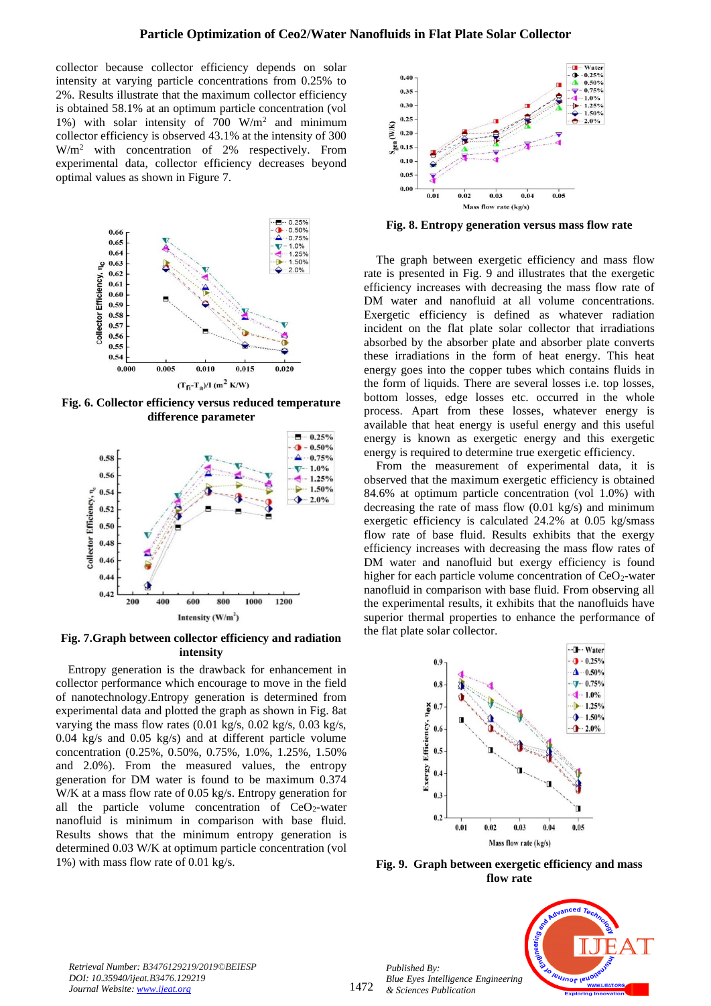collector because collector efficiency depends on solar intensity at varying particle concentrations from 0.25% to 2%. Results illustrate that the maximum collector efficiency is obtained 58.1% at an optimum particle concentration (vol 1%) with solar intensity of 700 W/m<sup>2</sup> and minimum collector efficiency is observed 43.1% at the intensity of 300 W/m<sup>2</sup> with concentration of 2% respectively. From experimental data, collector efficiency decreases beyond optimal values as shown in Figure 7.



**Fig. 6. Collector efficiency versus reduced temperature difference parameter**



**Fig. 7.Graph between collector efficiency and radiation intensity**

Entropy generation is the drawback for enhancement in collector performance which encourage to move in the field of nanotechnology.Entropy generation is determined from experimental data and plotted the graph as shown in Fig. 8at varying the mass flow rates (0.01 kg/s, 0.02 kg/s, 0.03 kg/s, 0.04 kg/s and 0.05 kg/s) and at different particle volume concentration (0.25%, 0.50%, 0.75%, 1.0%, 1.25%, 1.50% and 2.0%). From the measured values, the entropy generation for DM water is found to be maximum 0.374 W/K at a mass flow rate of 0.05 kg/s. Entropy generation for all the particle volume concentration of  $CeO<sub>2</sub>$ -water nanofluid is minimum in comparison with base fluid. Results shows that the minimum entropy generation is determined 0.03 W/K at optimum particle concentration (vol 1%) with mass flow rate of 0.01 kg/s.



**Fig. 8. Entropy generation versus mass flow rate**

The graph between exergetic efficiency and mass flow rate is presented in Fig. 9 and illustrates that the exergetic efficiency increases with decreasing the mass flow rate of DM water and nanofluid at all volume concentrations. Exergetic efficiency is defined as whatever radiation incident on the flat plate solar collector that irradiations absorbed by the absorber plate and absorber plate converts these irradiations in the form of heat energy. This heat energy goes into the copper tubes which contains fluids in the form of liquids. There are several losses i.e. top losses, bottom losses, edge losses etc. occurred in the whole process. Apart from these losses, whatever energy is available that heat energy is useful energy and this useful energy is known as exergetic energy and this exergetic energy is required to determine true exergetic efficiency.

From the measurement of experimental data, it is observed that the maximum exergetic efficiency is obtained 84.6% at optimum particle concentration (vol 1.0%) with decreasing the rate of mass flow (0.01 kg/s) and minimum exergetic efficiency is calculated 24.2% at 0.05 kg/smass flow rate of base fluid. Results exhibits that the exergy efficiency increases with decreasing the mass flow rates of DM water and nanofluid but exergy efficiency is found higher for each particle volume concentration of  $CeO<sub>2</sub>$ -water nanofluid in comparison with base fluid. From observing all the experimental results, it exhibits that the nanofluids have superior thermal properties to enhance the performance of the flat plate solar collector.



**Fig. 9. Graph between exergetic efficiency and mass flow rate**

*Retrieval Number: B3476129219/2019©BEIESP DOI: 10.35940/ijeat.B3476.129219 Journal Website[: www.ijeat.org](http://www.ijeat.org/)*

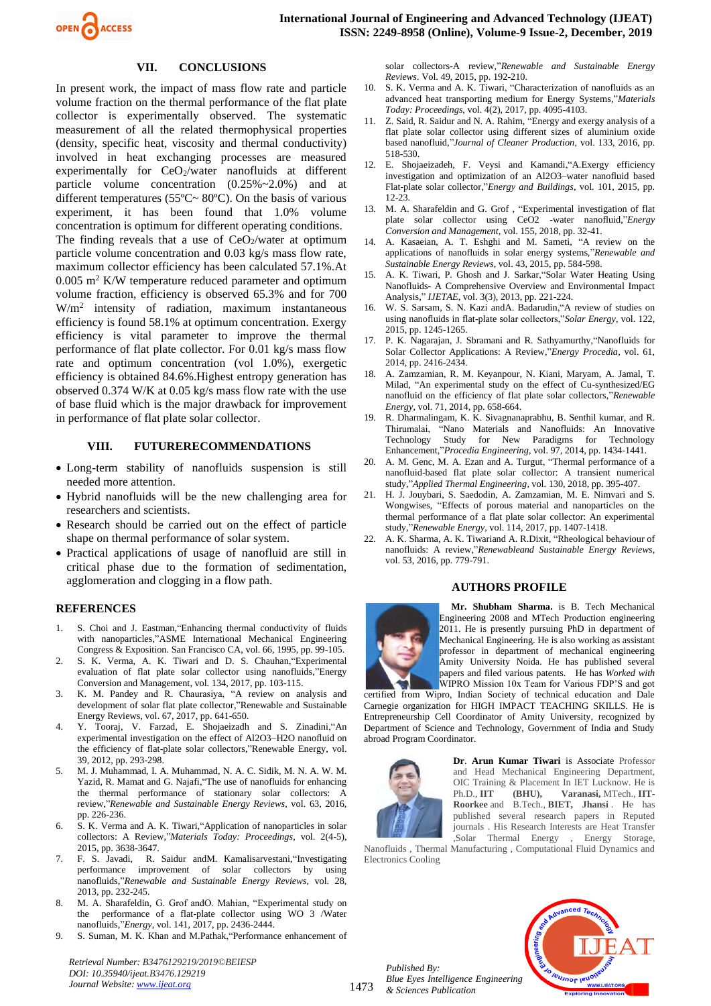

## **VII. CONCLUSIONS**

In present work, the impact of mass flow rate and particle volume fraction on the thermal performance of the flat plate collector is experimentally observed. The systematic measurement of all the related thermophysical properties (density, specific heat, viscosity and thermal conductivity) involved in heat exchanging processes are measured experimentally for  $CeO<sub>2</sub>/water$  nanofluids at different particle volume concentration (0.25%~2.0%) and at different temperatures (55ºC~ 80ºC). On the basis of various experiment, it has been found that 1.0% volume concentration is optimum for different operating conditions. The finding reveals that a use of  $CeO<sub>2</sub>/water$  at optimum particle volume concentration and 0.03 kg/s mass flow rate, maximum collector efficiency has been calculated 57.1%.At  $0.005$  m<sup>2</sup> K/W temperature reduced parameter and optimum volume fraction, efficiency is observed 65.3% and for 700 W/m<sup>2</sup> intensity of radiation, maximum instantaneous efficiency is found 58.1% at optimum concentration. Exergy efficiency is vital parameter to improve the thermal performance of flat plate collector. For 0.01 kg/s mass flow rate and optimum concentration (vol 1.0%), exergetic efficiency is obtained 84.6%.Highest entropy generation has observed 0.374 W/K at 0.05 kg/s mass flow rate with the use of base fluid which is the major drawback for improvement in performance of flat plate solar collector.

#### **VIII. FUTURERECOMMENDATIONS**

- Long-term stability of nanofluids suspension is still needed more attention.
- Hybrid nanofluids will be the new challenging area for researchers and scientists.
- Research should be carried out on the effect of particle shape on thermal performance of solar system.
- Practical applications of usage of nanofluid are still in critical phase due to the formation of sedimentation, agglomeration and clogging in a flow path.

### **REFERENCES**

- 1. S. Choi and J. Eastman,"Enhancing thermal conductivity of fluids with nanoparticles,"ASME International Mechanical Engineering Congress & Exposition. San Francisco CA, vol. 66, 1995, pp. 99-105.
- 2. S. K. Verma, A. K. Tiwari and D. S. Chauhan,"Experimental evaluation of flat plate solar collector using nanofluids,"Energy Conversion and Management, vol. 134, 2017, pp. 103-115.
- 3. K. M. Pandey and R. Chaurasiya, "A review on analysis and development of solar flat plate collector,"Renewable and Sustainable Energy Reviews, vol. 67, 2017, pp. 641-650.
- 4. Y. Tooraj, V. Farzad, E. Shojaeizadh and S. Zinadini,"An experimental investigation on the effect of Al2O3–H2O nanofluid on the efficiency of flat-plate solar collectors,"Renewable Energy, vol. 39, 2012, pp. 293-298.
- 5. M. J. Muhammad, I. A. Muhammad, N. A. C. Sidik, M. N. A. W. M. Yazid, R. Mamat and G. Najafi,"The use of nanofluids for enhancing the thermal performance of stationary solar collectors: A review,"*Renewable and Sustainable Energy Reviews*, vol. 63, 2016, pp. 226-236.
- 6. S. K. Verma and A. K. Tiwari,"Application of nanoparticles in solar collectors: A Review,"*Materials Today: Proceedings*, vol. 2(4-5), 2015, pp. 3638-3647.
- 7. F. S. Javadi, R. Saidur andM. Kamalisarvestani,"Investigating performance improvement of solar collectors by using nanofluids,"*Renewable and Sustainable Energy Reviews*, vol. 28, 2013, pp. 232-245.
- 8. M. A. Sharafeldin, G. Grof andO. Mahian, "Experimental study on the performance of a flat-plate collector using WO 3 /Water nanofluids,"*Energy*, vol. 141, 2017, pp. 2436-2444.
- 9. S. Suman, M. K. Khan and M.Pathak,"Performance enhancement of

*Retrieval Number: B3476129219/2019©BEIESP DOI: 10.35940/ijeat.B3476.129219 Journal Website[: www.ijeat.org](http://www.ijeat.org/)*

solar collectors-A review,"*Renewable and Sustainable Energy Reviews*. Vol. 49, 2015, pp. 192-210.

- 10. S. K. Verma and A. K. Tiwari, "Characterization of nanofluids as an advanced heat transporting medium for Energy Systems,"*Materials Today: Proceedings*, vol. 4(2), 2017, pp. 4095-4103.
- 11. Z. Said, R. Saidur and N. A. Rahim, "Energy and exergy analysis of a flat plate solar collector using different sizes of aluminium oxide based nanofluid,"*Journal of Cleaner Production*, vol. 133, 2016, pp. 518-530.
- 12. E. Shojaeizadeh, F. Veysi and Kamandi,"A.Exergy efficiency investigation and optimization of an Al2O3–water nanofluid based Flat-plate solar collector,"*Energy and Buildings,* vol. 101, 2015, pp. 12-23.
- 13. M. A. Sharafeldin and G. Grof , "Experimental investigation of flat plate solar collector using CeO2 -water nanofluid,"*Energy Conversion and Management*, vol. 155, 2018, pp. 32-41.
- 14. A. Kasaeian, A. T. Eshghi and M. Sameti, "A review on the applications of nanofluids in solar energy systems,"*Renewable and Sustainable Energy Reviews*, vol. 43, 2015, pp. 584-598.
- 15. A. K. Tiwari, P. Ghosh and J. Sarkar,"Solar Water Heating Using Nanofluids- A Comprehensive Overview and Environmental Impact Analysis," *IJETAE,* vol. 3(3), 2013, pp. 221-224.
- 16. W. S. Sarsam, S. N. Kazi andA. Badarudin,"A review of studies on using nanofluids in flat-plate solar collectors,"*Solar Energy*, vol. 122, 2015, pp. 1245-1265.
- 17. P. K. Nagarajan, J. Sbramani and R. Sathyamurthy,"Nanofluids for Solar Collector Applications: A Review,"*Energy Procedia*, vol. 61, 2014, pp. 2416-2434.
- 18. A. Zamzamian, R. M. Keyanpour, N. Kiani, Maryam, A. Jamal, T. Milad, "An experimental study on the effect of Cu-synthesized/EG nanofluid on the efficiency of flat plate solar collectors,"*Renewable Energy*, vol. 71, 2014, pp. 658-664.
- 19. R. Dharmalingam, K. K. Sivagnanaprabhu, B. Senthil kumar, and R. Thirumalai, "Nano Materials and Nanofluids: An Innovative Technology Study for New Paradigms for Technology Enhancement,"*Procedia Engineering*, vol. 97, 2014, pp. 1434-1441.
- 20. A. M. Genc, M. A. Ezan and A. Turgut, "Thermal performance of a nanofluid-based flat plate solar collector: A transient numerical study,"*Applied Thermal Engineering*, vol. 130, 2018, pp. 395-407.
- 21. H. J. Jouybari, S. Saedodin, A. Zamzamian, M. E. Nimvari and S. Wongwises, "Effects of porous material and nanoparticles on the thermal performance of a flat plate solar collector: An experimental study,"*Renewable Energy*, vol. 114, 2017, pp. 1407-1418.
- 22. A. K. Sharma, A. K. Tiwariand A. R.Dixit, "Rheological behaviour of nanofluids: A review,"*Renewableand Sustainable Energy Reviews*, vol. 53, 2016, pp. 779-791.

#### **AUTHORS PROFILE**



**Mr. Shubham Sharma.** is B. Tech Mechanical Engineering 2008 and MTech Production engineering 2011. He is presently pursuing PhD in department of Mechanical Engineering. He is also working as assistant professor in department of mechanical engineering Amity University Noida. He has published several papers and filed various patents. He has *Worked with*  WIPRO Mission 10x Team for Various FDP'S and got

certified from Wipro, Indian Society of technical education and Dale Carnegie organization for HIGH IMPACT TEACHING SKILLS. He is Entrepreneurship Cell Coordinator of Amity University, recognized by Department of Science and Technology, Government of India and Study abroad Program Coordinator.



**Dr**. **Arun Kumar Tiwari** is Associate Professor and Head Mechanical Engineering Department, OIC Training & Placement In IET Lucknow. He is<br>Ph.D., IIT (BHU), Varanasi, MTech., IIT-Ph.D., IIT (BHU), Varanasi, MTech., IIT-**Roorkee** and B.Tech., **BIET, Jhansi** . He has published several research papers in Reputed journals . His Research Interests are Heat Transfer ,Solar Thermal Energy , Energy Storage,

Nanofluids , Thermal Manufacturing , Computational Fluid Dynamics and Electronics Cooling